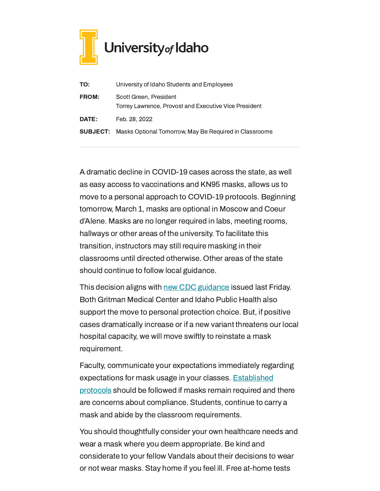

| TO:          | University of Idaho Students and Employees                                      |
|--------------|---------------------------------------------------------------------------------|
| <b>FROM:</b> | Scott Green, President<br>Torrey Lawrence, Provost and Executive Vice President |
| <b>DATE:</b> | Feb. 28, 2022                                                                   |
|              | <b>SUBJECT:</b> Masks Optional Tomorrow, May Be Required in Classrooms          |

A dramatic decline in COVID-19 cases across the state, as well as easy access to vaccinations and KN95 masks, allows us to move to a personal approach to COVID-19 protocols. Beginning tomorrow, March 1, masks are optional in Moscow and Coeur d'Alene. Masks are no longer required in labs, meeting rooms, hallways or other areas of the university. To facilitate this transition, instructors may still require masking in their classrooms until directed otherwise. Other areas of the state should continue to follow local guidance.

This decision aligns with new CDC [guidance](https://www.cdc.gov/coronavirus/2019-ncov/your-health/covid-by-county.html) issued last Friday. Both Gritman Medical Center and Idaho Public Health also support the move to personal protection choice. But, if positive cases dramatically increase or if a new variant threatens our local hospital capacity, we will move swiftly to reinstate a mask requirement.

Faculty, communicate your expectations immediately regarding [expectations](https://www.webpages.uidaho.edu/cetl/docs/2022-Spring-Healthy-Vandals-Syllabus-Policies.pdf) for mask usage in your classes. Established protocols should be followed if masks remain required and there are concerns about compliance. Students, continue to carry a mask and abide by the classroom requirements.

You should thoughtfully consider your own healthcare needs and wear a mask where you deem appropriate. Be kind and considerate to your fellow Vandals about their decisions to wear or not wear masks. Stay home if you feel ill. Free at-home tests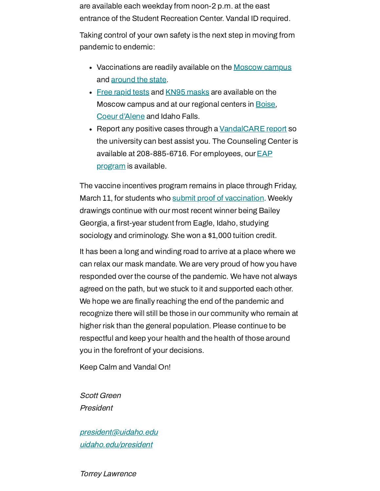are available each weekday from noon-2 p.m. at the east entrance of the Student Recreation Center. Vandal ID required.

Taking control of your own safety is the next step in moving from pandemic to endemic:

- Vaccinations are readily available on the [Moscow](https://www.uidaho.edu/vandal-health-clinic/coronavirus/vaccine/pre-register) campus and [around](https://www.vaccines.gov/search/) the state.
- Free [rapid](https://www.uidaho.edu/-/media/UIdaho-Responsive/Files/health-clinic/covid-19/memos/memo-220207-green-lawrence.pdf) tests and [KN95 masks](https://www.uidaho.edu/-/media/UIdaho-Responsive/Files/health-clinic/covid-19/memos/memo-220214-green-lawrence.pdf) are available on the Moscow campus and at our regional centers in **Boise**, Coeur [d'Alene](https://www.uidaho.edu/cda/students/resources) and Idaho Falls.
- Report any positive cases through a [VandalCARE](https://www.uidaho.edu/student-affairs/dean-of-students/vandalcare) report so the university can best assist you. The Counseling Center is available at [208-885-6716.](https://www.uidaho.edu/human-resources/benefits/core-benefits/eap) For employees, our  $EAP$ program is available.

The vaccine incentives program remains in place through Friday, March 11, for students who submit proof of [vaccination.](https://uidaho.co1.qualtrics.com/jfe/form/SV_6gICn0bvv2PZPNA) Weekly drawings continue with our most recent winner being Bailey Georgia, a first-year student from Eagle, Idaho, studying sociology and criminology. She won a \$1,000 tuition credit.

It has been a long and winding road to arrive at a place where we can relax our mask mandate. We are very proud of how you have responded over the course of the pandemic. We have not always agreed on the path, but we stuck to it and supported each other. We hope we are finally reaching the end of the pandemic and recognize there will still be those in our community who remain at higher risk than the general population. Please continue to be respectful and keep your health and the health of those around you in the forefront of your decisions.

Keep Calm and Vandal On!

Scott Green President

[president@uidaho.edu](mailto:president@uidaho.edu) [uidaho.edu/president](https://www.uidaho.edu/president)

Torrey Lawrence